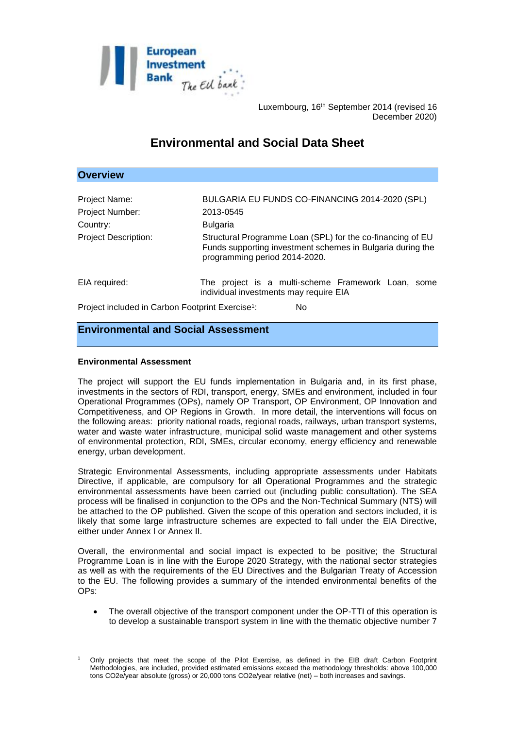

Luxembourg, 16<sup>th</sup> September 2014 (revised 16 December 2020)

# **Environmental and Social Data Sheet**

## **Overview**

| Project Name:                                                | BULGARIA EU FUNDS CO-FINANCING 2014-2020 (SPL)                                                                                                            |
|--------------------------------------------------------------|-----------------------------------------------------------------------------------------------------------------------------------------------------------|
|                                                              |                                                                                                                                                           |
| Project Number:                                              | 2013-0545                                                                                                                                                 |
| Country:                                                     | <b>Bulgaria</b>                                                                                                                                           |
| <b>Project Description:</b>                                  | Structural Programme Loan (SPL) for the co-financing of EU<br>Funds supporting investment schemes in Bulgaria during the<br>programming period 2014-2020. |
| EIA required:                                                | The project is a multi-scheme Framework Loan, some<br>individual investments may require EIA                                                              |
| Project included in Carbon Footprint Exercise <sup>1</sup> : | No                                                                                                                                                        |

# **Environmental and Social Assessment**

#### **Environmental Assessment**

The project will support the EU funds implementation in Bulgaria and, in its first phase, investments in the sectors of RDI, transport, energy, SMEs and environment, included in four Operational Programmes (OPs), namely OP Transport, OP Environment, OP Innovation and Competitiveness, and OP Regions in Growth. In more detail, the interventions will focus on the following areas: priority national roads, regional roads, railways, urban transport systems, water and waste water infrastructure, municipal solid waste management and other systems of environmental protection, RDI, SMEs, circular economy, energy efficiency and renewable energy, urban development.

Strategic Environmental Assessments, including appropriate assessments under Habitats Directive, if applicable, are compulsory for all Operational Programmes and the strategic environmental assessments have been carried out (including public consultation). The SEA process will be finalised in conjunction to the OPs and the Non-Technical Summary (NTS) will be attached to the OP published. Given the scope of this operation and sectors included, it is likely that some large infrastructure schemes are expected to fall under the EIA Directive, either under Annex I or Annex II.

Overall, the environmental and social impact is expected to be positive; the Structural Programme Loan is in line with the Europe 2020 Strategy, with the national sector strategies as well as with the requirements of the EU Directives and the Bulgarian Treaty of Accession to the EU. The following provides a summary of the intended environmental benefits of the OPs:

 The overall objective of the transport component under the OP-TTI of this operation is to develop a sustainable transport system in line with the thematic objective number 7

<sup>1</sup> <sup>1</sup> Only projects that meet the scope of the Pilot Exercise, as defined in the EIB draft Carbon Footprint Methodologies, are included, provided estimated emissions exceed the methodology thresholds: above 100,000 tons CO2e/year absolute (gross) or 20,000 tons CO2e/year relative (net) – both increases and savings.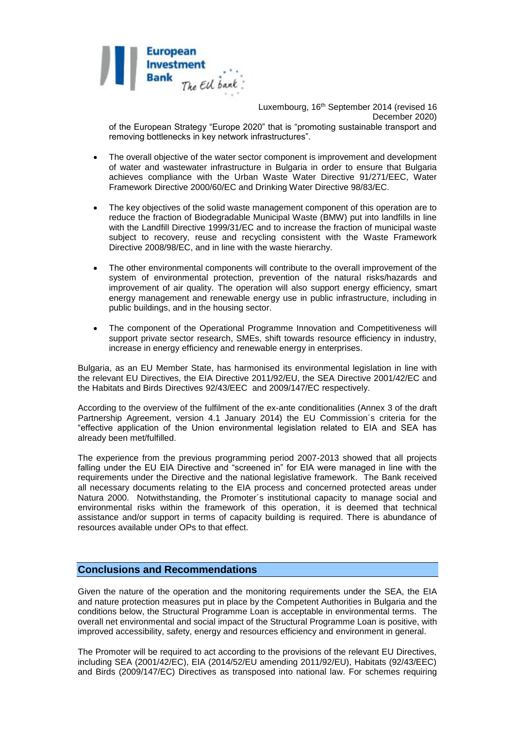

Luxembourg, 16th September 2014 (revised 16 December 2020)

of the European Strategy "Europe 2020" that is "promoting sustainable transport and removing bottlenecks in key network infrastructures".

- The overall objective of the water sector component is improvement and development of water and wastewater infrastructure in Bulgaria in order to ensure that Bulgaria achieves compliance with the Urban Waste Water Directive 91/271/EEC, Water Framework Directive 2000/60/EC and Drinking Water Directive 98/83/EC.
- The key objectives of the solid waste management component of this operation are to reduce the fraction of Biodegradable Municipal Waste (BMW) put into landfills in line with the Landfill Directive 1999/31/EC and to increase the fraction of municipal waste subject to recovery, reuse and recycling consistent with the Waste Framework Directive 2008/98/EC, and in line with the waste hierarchy.
- The other environmental components will contribute to the overall improvement of the system of environmental protection, prevention of the natural risks/hazards and improvement of air quality. The operation will also support energy efficiency, smart energy management and renewable energy use in public infrastructure, including in public buildings, and in the housing sector.
- The component of the Operational Programme Innovation and Competitiveness will support private sector research, SMEs, shift towards resource efficiency in industry, increase in energy efficiency and renewable energy in enterprises.

Bulgaria, as an EU Member State, has harmonised its environmental legislation in line with the relevant EU Directives, the EIA Directive 2011/92/EU, the SEA Directive 2001/42/EC and the Habitats and Birds Directives 92/43/EEC and 2009/147/EC respectively.

According to the overview of the fulfilment of the ex-ante conditionalities (Annex 3 of the draft Partnership Agreement, version 4.1 January 2014) the EU Commission´s criteria for the "effective application of the Union environmental legislation related to EIA and SEA has already been met/fulfilled.

The experience from the previous programming period 2007-2013 showed that all projects falling under the EU EIA Directive and "screened in" for EIA were managed in line with the requirements under the Directive and the national legislative framework. The Bank received all necessary documents relating to the EIA process and concerned protected areas under Natura 2000. Notwithstanding, the Promoter´s institutional capacity to manage social and environmental risks within the framework of this operation, it is deemed that technical assistance and/or support in terms of capacity building is required. There is abundance of resources available under OPs to that effect.

## **Conclusions and Recommendations**

Given the nature of the operation and the monitoring requirements under the SEA, the EIA and nature protection measures put in place by the Competent Authorities in Bulgaria and the conditions below, the Structural Programme Loan is acceptable in environmental terms. The overall net environmental and social impact of the Structural Programme Loan is positive, with improved accessibility, safety, energy and resources efficiency and environment in general.

The Promoter will be required to act according to the provisions of the relevant EU Directives, including SEA (2001/42/EC), EIA (2014/52/EU amending 2011/92/EU), Habitats (92/43/EEC) and Birds (2009/147/EC) Directives as transposed into national law. For schemes requiring